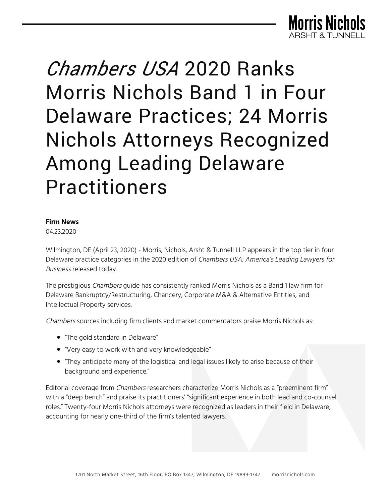

# *Chambers USA* 2020 Ranks Morris Nichols Band 1 in Four Delaware Practices; 24 Morris Nichols Attorneys Recognized Among Leading Delaware Practitioners

#### **Firm News**

04.23.2020

Wilmington, DE (April 23, 2020) - Morris, Nichols, Arsht & Tunnell LLP appears in the top tier in four Delaware practice categories in the 2020 edition of Chambers USA: America's Leading Lawyers for Business released today.

The prestigious *Chambers* guide has consistently ranked Morris Nichols as a Band 1 law firm for Delaware Bankruptcy/Restructuring, Chancery, Corporate M&A & Alternative Entities, and Intellectual Property services.

Chambers sources including firm clients and market commentators praise Morris Nichols as:

- "The gold standard in Delaware"
- "Very easy to work with and very knowledgeable"
- "They anticipate many of the logistical and legal issues likely to arise because of their background and experience."

Editorial coverage from Chambers researchers characterize Morris Nichols as a "preeminent firm" with a "deep bench" and praise its practitioners' "significant experience in both lead and co-counsel roles." Twenty-four Morris Nichols attorneys were recognized as leaders in their field in Delaware, accounting for nearly one-third of the firm's talented lawyers.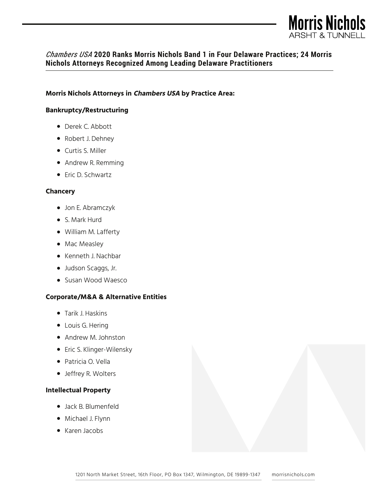

## *Chambers USA* **2020 Ranks Morris Nichols Band 1 in Four Delaware Practices; 24 Morris Nichols Attorneys Recognized Among Leading Delaware Practitioners**

#### **Morris Nichols Attorneys in Chambers USA by Practice Area:**

#### **Bankruptcy/Restructuring**

- Derek C. Abbott
- Robert J. Dehney
- Curtis S. Miller
- Andrew R. Remming
- Eric D. Schwartz

#### **Chancery**

- Jon E. Abramczyk
- S. Mark Hurd
- William M. Lafferty
- Mac Measley
- Kenneth J. Nachbar
- Judson Scaggs, Jr.
- Susan Wood Waesco

#### **Corporate/M&A & Alternative Entities**

- Tarik J. Haskins
- Louis G. Hering
- Andrew M. Johnston
- Eric S. Klinger-Wilensky
- Patricia O. Vella
- Jeffrey R. Wolters

#### **Intellectual Property**

- Jack B. Blumenfeld
- Michael J. Flynn
- Karen Jacobs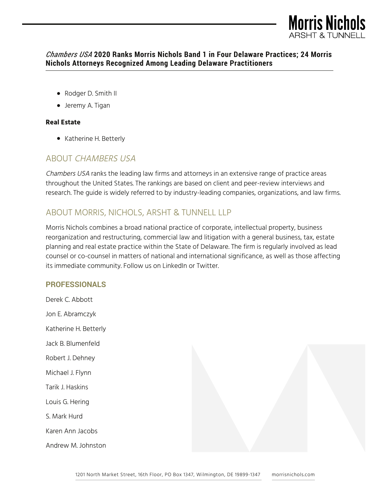

## *Chambers USA* **2020 Ranks Morris Nichols Band 1 in Four Delaware Practices; 24 Morris Nichols Attorneys Recognized Among Leading Delaware Practitioners**

- Rodger D. Smith II
- Jeremy A. Tigan

## **Real Estate**

● Katherine H. Betterly

## ABOUT CHAMBERS USA

Chambers USA ranks the leading law firms and attorneys in an extensive range of practice areas throughout the United States. The rankings are based on client and peer-review interviews and research. The guide is widely referred to by industry-leading companies, organizations, and law firms.

# ABOUT MORRIS, NICHOLS, ARSHT & TUNNELL LLP

Morris Nichols combines a broad national practice of corporate, intellectual property, business reorganization and restructuring, commercial law and litigation with a general business, tax, estate planning and real estate practice within the State of Delaware. The firm is regularly involved as lead counsel or co-counsel in matters of national and international significance, as well as those affecting its immediate community. Follow us on LinkedIn or Twitter.

## **PROFESSIONALS**

Derek C. Abbott Jon E. Abramczyk Katherine H. Betterly Jack B. Blumenfeld Robert J. Dehney Michael J. Flynn Tarik J. Haskins Louis G. Hering S. Mark Hurd Karen Ann Jacobs Andrew M. Johnston